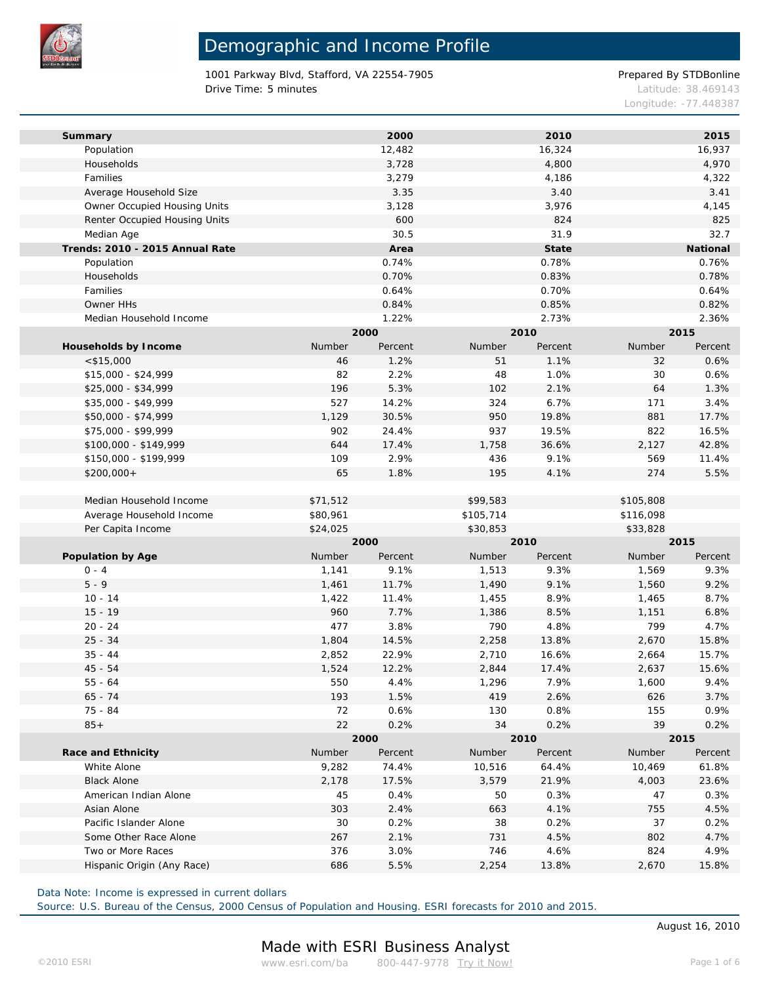

1001 Parkway Blvd, Stafford, VA 22554-7905 Prepared By STDBonline Drive Time: 5 minutes Latitude: 38.469143

Longitude: -77.448387

| Summary                         |          | 2000    |           | 2010    |           | 2015     |  |
|---------------------------------|----------|---------|-----------|---------|-----------|----------|--|
| Population                      |          | 12,482  |           | 16,324  |           | 16,937   |  |
| Households                      |          | 3,728   |           | 4,800   |           | 4,970    |  |
| Families                        |          | 3,279   |           | 4,186   |           | 4,322    |  |
| Average Household Size          |          | 3.35    |           | 3.40    |           | 3.41     |  |
| Owner Occupied Housing Units    |          | 3,128   |           | 3,976   |           | 4,145    |  |
| Renter Occupied Housing Units   |          | 600     |           | 824     |           | 825      |  |
| Median Age                      |          | 30.5    |           | 31.9    |           | 32.7     |  |
| Trends: 2010 - 2015 Annual Rate |          | Area    |           | State   |           | National |  |
| Population                      |          | 0.74%   |           | 0.78%   |           | 0.76%    |  |
| Households                      |          | 0.70%   |           | 0.83%   |           | 0.78%    |  |
| Families                        |          | 0.64%   |           | 0.70%   |           | 0.64%    |  |
| Owner HHs                       |          | 0.84%   |           | 0.85%   |           | 0.82%    |  |
| Median Household Income         |          | 1.22%   |           | 2.73%   |           | 2.36%    |  |
|                                 |          | 2000    |           | 2010    |           | 2015     |  |
| Households by Income            | Number   | Percent | Number    | Percent | Number    | Percent  |  |
| $<$ \$15,000                    | 46       | 1.2%    | 51        | 1.1%    | 32        | 0.6%     |  |
| $$15,000 - $24,999$             | 82       | 2.2%    | 48        | 1.0%    | 30        | 0.6%     |  |
| \$25,000 - \$34,999             | 196      | 5.3%    | 102       | 2.1%    | 64        | 1.3%     |  |
| \$35,000 - \$49,999             | 527      | 14.2%   | 324       | 6.7%    | 171       | 3.4%     |  |
| \$50,000 - \$74,999             | 1,129    | 30.5%   | 950       | 19.8%   | 881       | 17.7%    |  |
| \$75,000 - \$99,999             | 902      | 24.4%   | 937       | 19.5%   | 822       | 16.5%    |  |
| \$100,000 - \$149,999           | 644      | 17.4%   | 1,758     | 36.6%   | 2,127     | 42.8%    |  |
| \$150,000 - \$199,999           | 109      | 2.9%    | 436       | 9.1%    | 569       | 11.4%    |  |
| $$200,000+$                     | 65       | 1.8%    | 195       | 4.1%    | 274       | 5.5%     |  |
|                                 |          |         |           |         |           |          |  |
| Median Household Income         | \$71,512 |         | \$99,583  |         | \$105,808 |          |  |
| Average Household Income        | \$80,961 |         | \$105,714 |         | \$116,098 |          |  |
| Per Capita Income               | \$24,025 |         | \$30,853  |         | \$33,828  |          |  |
|                                 |          | 2000    |           | 2010    |           | 2015     |  |
| Population by Age               | Number   | Percent | Number    | Percent | Number    | Percent  |  |
| $0 - 4$                         | 1,141    | 9.1%    | 1,513     | 9.3%    | 1,569     | 9.3%     |  |
| $5 - 9$                         | 1,461    | 11.7%   | 1,490     | 9.1%    | 1,560     | 9.2%     |  |
| $10 - 14$                       | 1,422    | 11.4%   | 1,455     | 8.9%    | 1,465     | 8.7%     |  |
| $15 - 19$                       | 960      | 7.7%    | 1,386     | 8.5%    | 1,151     | 6.8%     |  |
| $20 - 24$                       | 477      | 3.8%    | 790       | 4.8%    | 799       | 4.7%     |  |
| $25 - 34$                       | 1,804    | 14.5%   | 2,258     | 13.8%   | 2,670     | 15.8%    |  |
| $35 - 44$                       | 2,852    | 22.9%   | 2,710     | 16.6%   | 2,664     | 15.7%    |  |
| $45 - 54$                       | 1,524    | 12.2%   | 2,844     | 17.4%   | 2,637     | 15.6%    |  |
| $55 - 64$                       | 550      | 4.4%    | 1,296     | 7.9%    | 1,600     | 9.4%     |  |
| $65 - 74$                       | 193      | 1.5%    | 419       | 2.6%    | 626       | 3.7%     |  |
| 75 - 84                         | 72       | 0.6%    | 130       | 0.8%    | 155       | 0.9%     |  |
| $85+$                           | 22       | 0.2%    | 34        | 0.2%    | 39        | 0.2%     |  |
|                                 |          | 2000    |           | 2010    |           | 2015     |  |
| Race and Ethnicity              | Number   | Percent | Number    | Percent | Number    | Percent  |  |
| White Alone                     | 9,282    | 74.4%   | 10,516    | 64.4%   | 10,469    | 61.8%    |  |
| <b>Black Alone</b>              | 2,178    | 17.5%   | 3,579     | 21.9%   | 4,003     | 23.6%    |  |
| American Indian Alone           | 45       | 0.4%    | 50        | 0.3%    | 47        | 0.3%     |  |
| Asian Alone                     | 303      | 2.4%    | 663       | 4.1%    | 755       | 4.5%     |  |
| Pacific Islander Alone          | 30       | 0.2%    | 38        | 0.2%    | 37        | 0.2%     |  |
| Some Other Race Alone           | 267      | 2.1%    | 731       | 4.5%    | 802       | 4.7%     |  |
| Two or More Races               | 376      | 3.0%    | 746       | 4.6%    | 824       | 4.9%     |  |
| Hispanic Origin (Any Race)      | 686      | 5.5%    | 2,254     | 13.8%   | 2,670     | 15.8%    |  |
|                                 |          |         |           |         |           |          |  |

Data Note: Income is expressed in current dollars

Source: U.S. Bureau of the Census, 2000 Census of Population and Housing. ESRI forecasts for 2010 and 2015.

August 16, 2010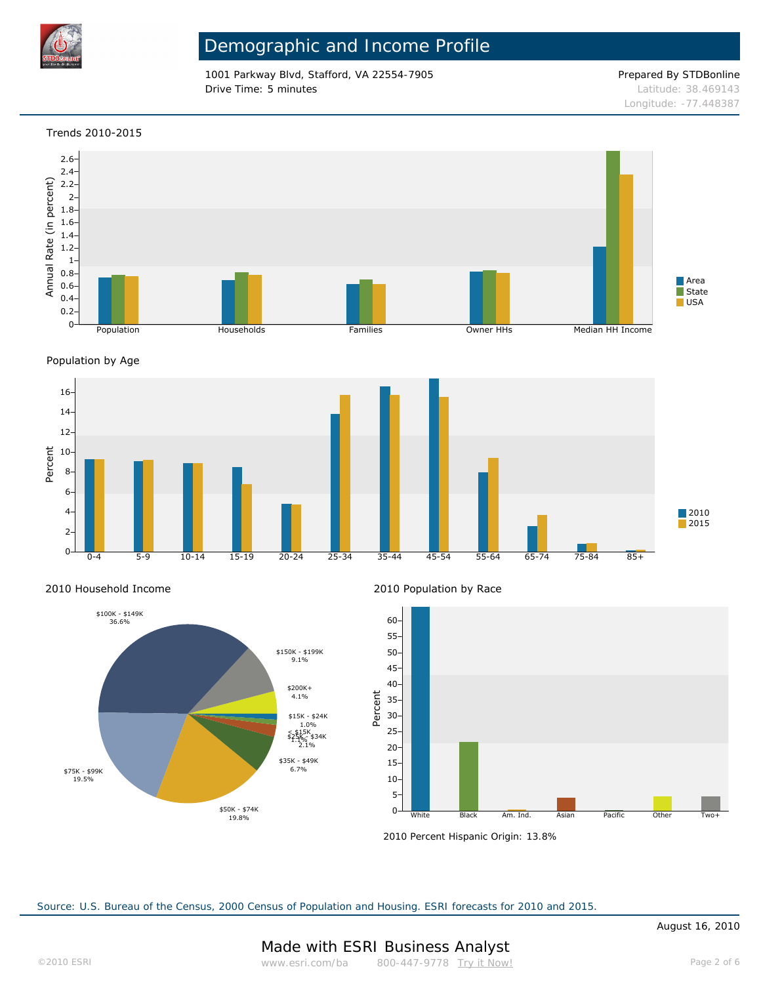

1001 Parkway Blvd, Stafford, VA 22554-7905 Prepared By STDBonline **Drive Time: 5 minutes Latitude: 38.469143** 

Longitude: -77.448387

### Trends 2010-2015



Population by Age







2010 Population by Race



2010 Percent Hispanic Origin: 13.8%

Source: U.S. Bureau of the Census, 2000 Census of Population and Housing. ESRI forecasts for 2010 and 2015.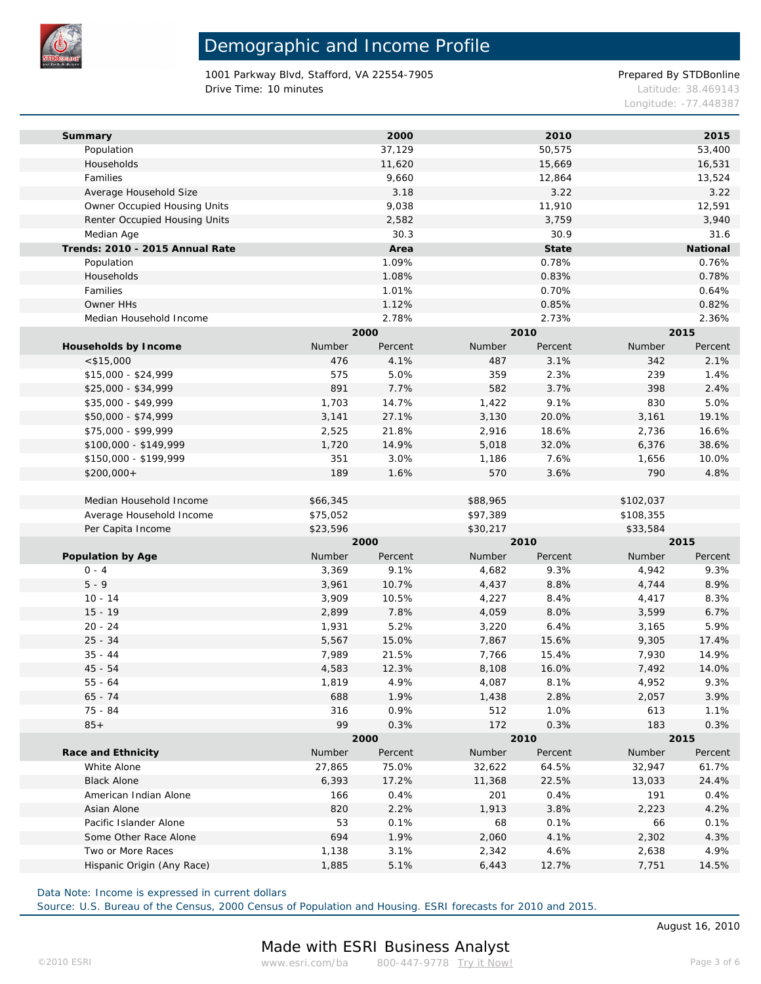

1001 Parkway Blvd, Stafford, VA 22554-7905 Prepared By STDBonline Drive Time: 10 minutes **Latitude: 38.469143** 

Longitude: -77.448387

| Summary                         |                               |          | 2000              |          | 2010              |           | 2015              |  |
|---------------------------------|-------------------------------|----------|-------------------|----------|-------------------|-----------|-------------------|--|
| Population                      |                               |          | 37,129            |          | 50,575            |           | 53,400            |  |
| Households                      |                               |          | 11,620            |          | 15,669            |           | 16,531            |  |
| Families                        |                               |          | 9,660             |          | 12,864            |           | 13,524            |  |
| Average Household Size          |                               |          | 3.18              |          | 3.22              |           | 3.22              |  |
|                                 | Owner Occupied Housing Units  |          | 9,038             |          | 11,910            |           | 12,591            |  |
|                                 | Renter Occupied Housing Units |          | 2,582             |          | 3,759             |           | 3,940             |  |
| Median Age                      |                               |          | 30.3              |          | 30.9              |           | 31.6              |  |
| Trends: 2010 - 2015 Annual Rate |                               |          | Area              |          | State             |           | National          |  |
| Population                      |                               |          | 1.09%             |          | 0.78%             |           | 0.76%             |  |
| Households                      |                               |          | 1.08%             |          | 0.83%             |           | 0.78%             |  |
| Families                        |                               |          | 1.01%             |          | 0.70%             |           | 0.64%             |  |
| Owner HHs                       |                               |          | 1.12%             |          | 0.85%             |           | 0.82%             |  |
| Median Household Income         |                               |          | 2.78%             |          | 2.73%             |           | 2.36%             |  |
|                                 |                               |          | 2000              |          | 2010              |           | 2015              |  |
| Households by Income            |                               | Number   | Percent           | Number   | Percent           | Number    | Percent           |  |
| $<$ \$15,000                    |                               | 476      | 4.1%              | 487      | 3.1%              | 342       | 2.1%              |  |
| $$15,000 - $24,999$             |                               | 575      | 5.0%              | 359      | 2.3%              | 239       | 1.4%              |  |
| $$25,000 - $34,999$             |                               | 891      | 7.7%              | 582      | 3.7%              | 398       | 2.4%              |  |
| \$35,000 - \$49,999             |                               | 1,703    | 14.7%             | 1,422    | 9.1%              | 830       | 5.0%              |  |
| \$50,000 - \$74,999             |                               | 3,141    | 27.1%             | 3,130    | 20.0%             | 3,161     | 19.1%             |  |
| \$75,000 - \$99,999             |                               | 2,525    | 21.8%             | 2,916    | 18.6%             | 2,736     | 16.6%             |  |
| \$100,000 - \$149,999           |                               | 1,720    | 14.9%             | 5,018    | 32.0%             | 6,376     | 38.6%             |  |
| \$150,000 - \$199,999           |                               | 351      | 3.0%              | 1,186    | 7.6%              | 1,656     | 10.0%             |  |
| $$200,000+$                     |                               | 189      | 1.6%              | 570      | 3.6%              | 790       | 4.8%              |  |
|                                 |                               |          |                   |          |                   |           |                   |  |
| Median Household Income         |                               | \$66,345 |                   | \$88,965 |                   | \$102,037 |                   |  |
| Average Household Income        |                               | \$75,052 |                   | \$97,389 |                   | \$108,355 |                   |  |
| Per Capita Income               |                               | \$23,596 |                   | \$30,217 |                   | \$33,584  |                   |  |
|                                 |                               |          | 2000              |          | 2010              |           | 2015              |  |
| Population by Age               |                               | Number   | Percent           | Number   | Percent           | Number    | Percent           |  |
| $0 - 4$                         |                               | 3,369    | 9.1%              | 4,682    | 9.3%              | 4,942     | 9.3%              |  |
| $5 - 9$                         |                               | 3,961    | 10.7%             | 4,437    | 8.8%              | 4,744     | 8.9%              |  |
| $10 - 14$                       |                               | 3,909    | 10.5%             | 4,227    | 8.4%              | 4,417     | 8.3%              |  |
| $15 - 19$                       |                               | 2,899    | 7.8%              | 4,059    | 8.0%              | 3,599     | 6.7%              |  |
| $20 - 24$                       |                               | 1,931    | 5.2%              | 3,220    | 6.4%              | 3,165     | 5.9%              |  |
| $25 - 34$                       |                               | 5,567    | 15.0%             | 7,867    | 15.6%             | 9,305     | 17.4%             |  |
| $35 - 44$                       |                               | 7,989    | 21.5%             | 7,766    | 15.4%             | 7,930     | 14.9%             |  |
| $45 - 54$                       |                               | 4,583    | 12.3%             | 8,108    | 16.0%             | 7,492     | 14.0%             |  |
| $55 - 64$                       |                               | 1,819    | 4.9%              | 4,087    | 8.1%              | 4,952     | 9.3%              |  |
| $65 - 74$                       |                               | 688      | 1.9%              | 1,438    | 2.8%              | 2,057     | 3.9%              |  |
| 75 - 84                         |                               | 316      | 0.9%              | 512      | 1.0%              | 613       | 1.1%              |  |
| $85+$                           |                               | 99       | 0.3%              | 172      | 0.3%              | 183       | 0.3%              |  |
|                                 |                               |          | 2000              |          | 2010              |           | 2015              |  |
|                                 | Race and Ethnicity            |          | Number<br>Percent |          | Number<br>Percent |           | Number<br>Percent |  |
| White Alone                     |                               | 27,865   | 75.0%             | 32,622   | 64.5%             | 32,947    | 61.7%             |  |
| <b>Black Alone</b>              |                               | 6,393    | 17.2%             | 11,368   | 22.5%             | 13,033    | 24.4%             |  |
| American Indian Alone           |                               | 166      | 0.4%              | 201      | 0.4%              | 191       | 0.4%              |  |
| Asian Alone                     |                               | 820      | 2.2%              | 1,913    | 3.8%              | 2,223     | 4.2%              |  |
| Pacific Islander Alone          |                               | 53       | 0.1%              | 68       | 0.1%              | 66        | 0.1%              |  |
| Some Other Race Alone           |                               | 694      | 1.9%              | 2,060    | 4.1%              | 2,302     | 4.3%              |  |
| Two or More Races               |                               | 1,138    | 3.1%              | 2,342    | 4.6%              | 2,638     | 4.9%              |  |
| Hispanic Origin (Any Race)      |                               | 1,885    | 5.1%              | 6,443    | 12.7%             | 7,751     | 14.5%             |  |
|                                 |                               |          |                   |          |                   |           |                   |  |

Data Note: Income is expressed in current dollars

Source: U.S. Bureau of the Census, 2000 Census of Population and Housing. ESRI forecasts for 2010 and 2015.

August 16, 2010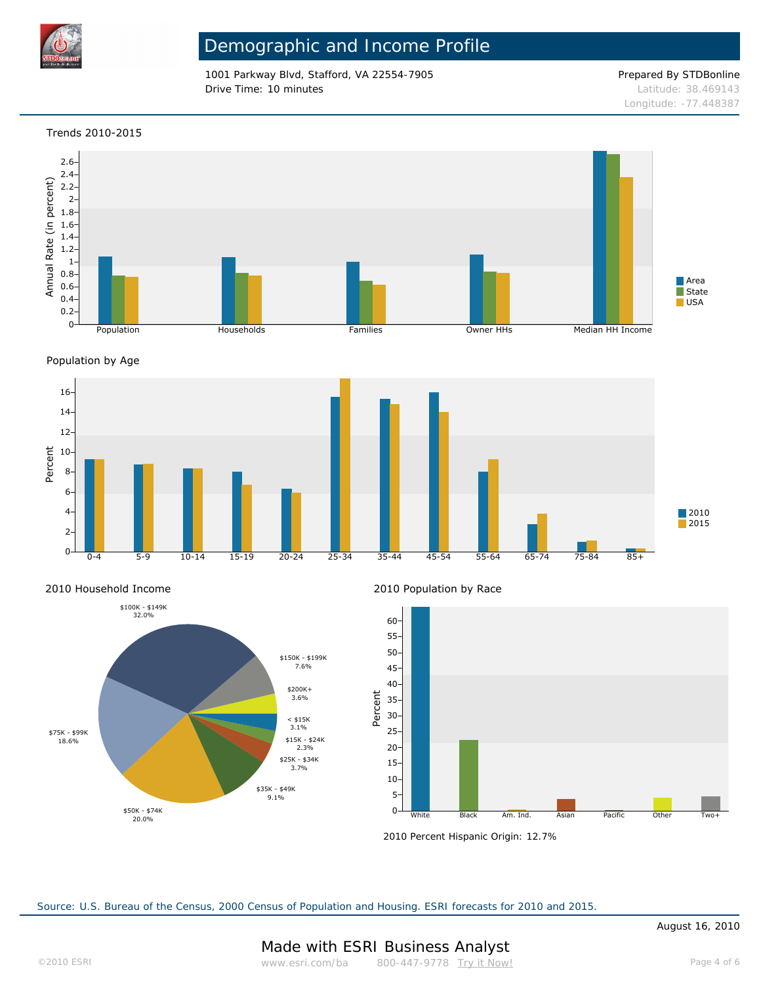

1001 Parkway Blvd, Stafford, VA 22554-7905 Prepared By STDBonline **Drive Time: 10 minutes Latitude: 38.469143** 

Longitude: -77.448387

### Trends 2010-2015



Population by Age



 <sup>2010</sup> Household Income



2010 Population by Race



2010 Percent Hispanic Origin: 12.7%

Source: U.S. Bureau of the Census, 2000 Census of Population and Housing. ESRI forecasts for 2010 and 2015.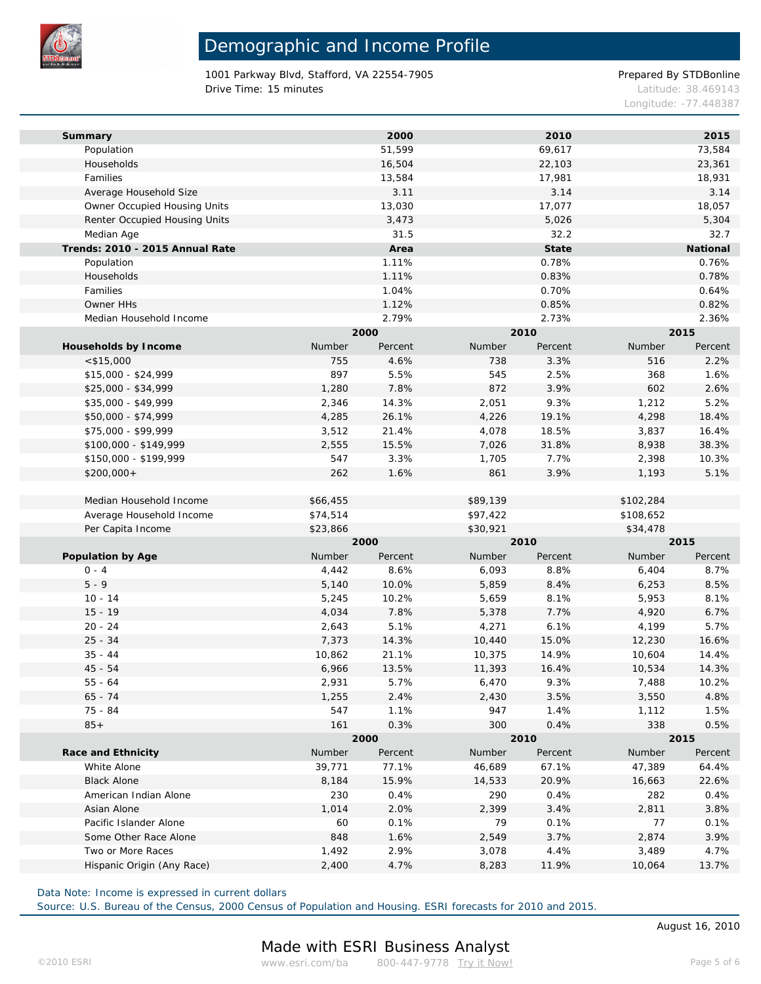

1001 Parkway Blvd, Stafford, VA 22554-7905 Prepared By STDBonline Drive Time: 15 minutes **Latitude: 38.469143** 

Longitude: -77.448387

| Summary                         |          | 2000    |          | 2010    |           | 2015     |  |
|---------------------------------|----------|---------|----------|---------|-----------|----------|--|
| Population                      |          | 51,599  |          | 69,617  |           | 73,584   |  |
| Households                      |          | 16,504  |          | 22,103  |           | 23,361   |  |
| Families                        |          | 13,584  |          | 17,981  |           | 18,931   |  |
| Average Household Size          |          | 3.11    |          | 3.14    |           | 3.14     |  |
| Owner Occupied Housing Units    |          | 13,030  |          | 17,077  |           | 18,057   |  |
| Renter Occupied Housing Units   |          | 3,473   |          | 5,026   |           | 5,304    |  |
| Median Age                      |          | 31.5    |          | 32.2    |           | 32.7     |  |
| Trends: 2010 - 2015 Annual Rate |          | Area    |          | State   |           | National |  |
| Population                      |          | 1.11%   |          | 0.78%   |           | 0.76%    |  |
| Households                      |          | 1.11%   |          | 0.83%   |           | 0.78%    |  |
| Families                        |          | 1.04%   |          | 0.70%   |           | 0.64%    |  |
| Owner HHs                       |          | 1.12%   |          | 0.85%   |           | 0.82%    |  |
| Median Household Income         |          | 2.79%   |          | 2.73%   |           | 2.36%    |  |
|                                 |          | 2000    |          | 2010    |           | 2015     |  |
| Households by Income            | Number   | Percent | Number   | Percent | Number    | Percent  |  |
| $<$ \$15,000                    | 755      | 4.6%    | 738      | 3.3%    | 516       | 2.2%     |  |
| $$15,000 - $24,999$             | 897      | 5.5%    | 545      | 2.5%    | 368       | 1.6%     |  |
| $$25,000 - $34,999$             | 1,280    | 7.8%    | 872      | 3.9%    | 602       | 2.6%     |  |
| \$35,000 - \$49,999             | 2,346    | 14.3%   | 2,051    | 9.3%    | 1,212     | 5.2%     |  |
| \$50,000 - \$74,999             | 4,285    | 26.1%   | 4,226    | 19.1%   | 4,298     | 18.4%    |  |
| \$75,000 - \$99,999             | 3,512    | 21.4%   | 4,078    | 18.5%   | 3,837     | 16.4%    |  |
| \$100,000 - \$149,999           | 2,555    | 15.5%   | 7,026    | 31.8%   | 8,938     | 38.3%    |  |
| \$150,000 - \$199,999           | 547      | 3.3%    | 1,705    | 7.7%    | 2,398     | 10.3%    |  |
| $$200,000+$                     | 262      | 1.6%    | 861      | 3.9%    | 1,193     | 5.1%     |  |
|                                 |          |         |          |         |           |          |  |
| Median Household Income         | \$66,455 |         | \$89,139 |         | \$102,284 |          |  |
| Average Household Income        | \$74,514 |         | \$97,422 |         | \$108,652 |          |  |
| Per Capita Income               | \$23,866 |         | \$30,921 |         | \$34,478  |          |  |
|                                 |          | 2000    |          | 2010    |           | 2015     |  |
| Population by Age               | Number   | Percent | Number   | Percent | Number    | Percent  |  |
| $0 - 4$                         | 4,442    | 8.6%    | 6,093    | 8.8%    | 6,404     | 8.7%     |  |
| $5 - 9$                         | 5,140    | 10.0%   | 5,859    | 8.4%    | 6,253     | 8.5%     |  |
| $10 - 14$                       | 5,245    | 10.2%   | 5,659    | 8.1%    | 5,953     | 8.1%     |  |
| $15 - 19$                       | 4,034    | 7.8%    | 5,378    | 7.7%    | 4,920     | 6.7%     |  |
| $20 - 24$                       | 2,643    | 5.1%    | 4,271    | 6.1%    | 4,199     | 5.7%     |  |
| $25 - 34$                       | 7,373    | 14.3%   | 10,440   | 15.0%   | 12,230    | 16.6%    |  |
| $35 - 44$                       | 10,862   | 21.1%   | 10,375   | 14.9%   | 10,604    | 14.4%    |  |
| $45 - 54$                       | 6,966    | 13.5%   | 11,393   | 16.4%   | 10,534    | 14.3%    |  |
| $55 - 64$                       | 2,931    | 5.7%    | 6,470    | 9.3%    | 7,488     | 10.2%    |  |
| $65 - 74$                       | 1,255    | 2.4%    | 2,430    | 3.5%    | 3,550     | 4.8%     |  |
| 75 - 84                         | 547      | 1.1%    | 947      | 1.4%    | 1,112     | 1.5%     |  |
| $85+$                           | 161      | 0.3%    | 300      | 0.4%    | 338       | 0.5%     |  |
|                                 |          | 2000    | 2010     |         | 2015      |          |  |
| Race and Ethnicity              | Number   | Percent | Number   | Percent | Number    | Percent  |  |
| White Alone                     | 39,771   | 77.1%   | 46,689   | 67.1%   | 47,389    | 64.4%    |  |
| <b>Black Alone</b>              | 8,184    | 15.9%   | 14,533   | 20.9%   | 16,663    | 22.6%    |  |
| American Indian Alone           | 230      | 0.4%    | 290      | 0.4%    | 282       | 0.4%     |  |
| Asian Alone                     | 1,014    | 2.0%    | 2,399    | 3.4%    | 2,811     | 3.8%     |  |
| Pacific Islander Alone          | 60       | 0.1%    | 79       | 0.1%    | 77        | 0.1%     |  |
| Some Other Race Alone           | 848      | 1.6%    | 2,549    | 3.7%    | 2,874     | 3.9%     |  |
| Two or More Races               | 1,492    | 2.9%    | 3,078    | 4.4%    | 3,489     | 4.7%     |  |
| Hispanic Origin (Any Race)      | 2,400    | 4.7%    | 8,283    | 11.9%   | 10,064    | 13.7%    |  |
|                                 |          |         |          |         |           |          |  |

Data Note: Income is expressed in current dollars

Source: U.S. Bureau of the Census, 2000 Census of Population and Housing. ESRI forecasts for 2010 and 2015.

August 16, 2010